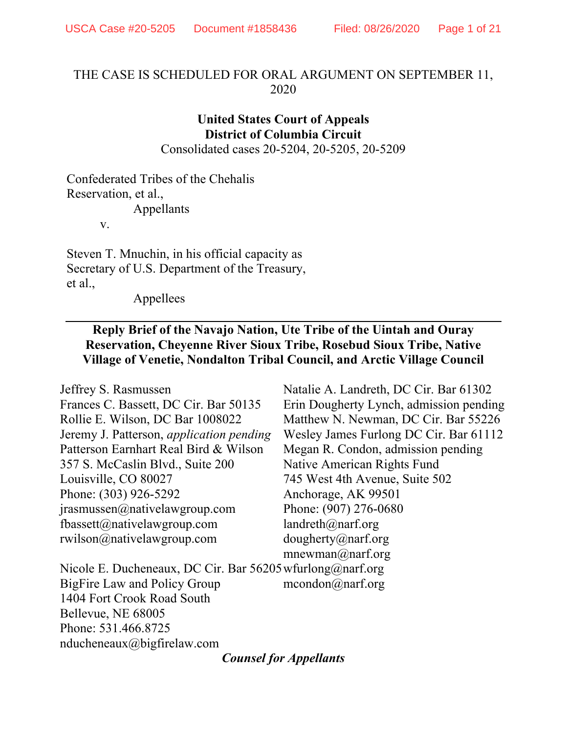## THE CASE IS SCHEDULED FOR ORAL ARGUMENT ON SEPTEMBER 11, 2020

# **United States Court of Appeals District of Columbia Circuit**

Consolidated cases 20-5204, 20-5205, 20-5209

Confederated Tribes of the Chehalis Reservation, et al., Appellants

v.

Steven T. Mnuchin, in his official capacity as Secretary of U.S. Department of the Treasury, et al.,

Appellees

## **Reply Brief of the Navajo Nation, Ute Tribe of the Uintah and Ouray Reservation, Cheyenne River Sioux Tribe, Rosebud Sioux Tribe, Native Village of Venetie, Nondalton Tribal Council, and Arctic Village Council**

| Jeffrey S. Rasmussen                                      | Natalie A. Landreth, DC Cir. Bar 61302  |
|-----------------------------------------------------------|-----------------------------------------|
| Frances C. Bassett, DC Cir. Bar 50135                     | Erin Dougherty Lynch, admission pending |
| Rollie E. Wilson, DC Bar 1008022                          | Matthew N. Newman, DC Cir. Bar 55226    |
| Jeremy J. Patterson, <i>application pending</i>           | Wesley James Furlong DC Cir. Bar 61112  |
| Patterson Earnhart Real Bird & Wilson                     | Megan R. Condon, admission pending      |
| 357 S. McCaslin Blvd., Suite 200                          | Native American Rights Fund             |
| Louisville, CO 80027                                      | 745 West 4th Avenue, Suite 502          |
| Phone: (303) 926-5292                                     | Anchorage, AK 99501                     |
| $j$ rasmussen $@$ nativelawgroup.com                      | Phone: (907) 276-0680                   |
| fbassett@nativelawgroup.com                               | landreth $(\partial)$ narf.org          |
| $r$ wilson@nativelawgroup.com                             | $d$ ougherty@narf.org                   |
|                                                           | mnewman@narf.org                        |
| Nicole E. Ducheneaux, DC Cir. Bar 56205 wfurlong@narf.org |                                         |
| BigFire Law and Policy Group                              | $m$ condon $\omega$ narf.org            |
| 1404 Fort Crook Road South                                |                                         |
| Bellevue, NE 68005                                        |                                         |
| Phone: 531.466.8725                                       |                                         |
| nducheneaux@bigfirelaw.com                                |                                         |

*Counsel for Appellants*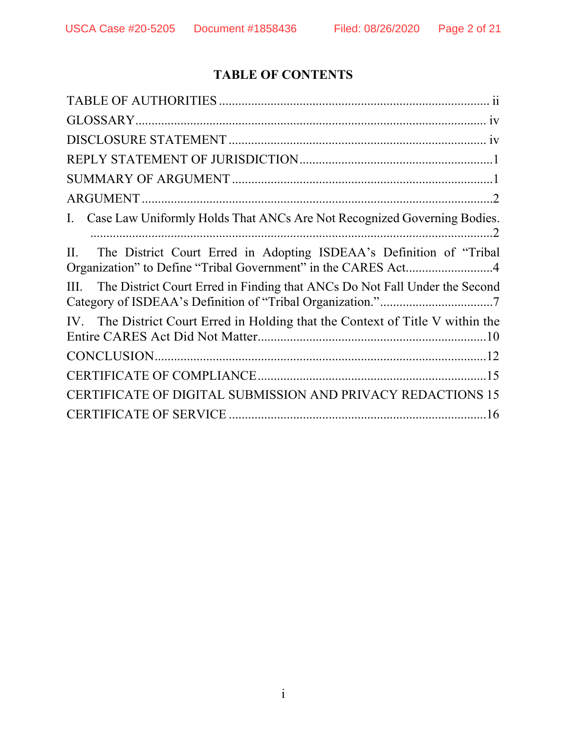# **TABLE OF CONTENTS**

| Case Law Uniformly Holds That ANCs Are Not Recognized Governing Bodies.<br>Ι.                                                               |
|---------------------------------------------------------------------------------------------------------------------------------------------|
| The District Court Erred in Adopting ISDEAA's Definition of "Tribal"<br>П.<br>Organization" to Define "Tribal Government" in the CARES Act4 |
| The District Court Erred in Finding that ANCs Do Not Fall Under the Second<br>Ш.                                                            |
| IV. The District Court Erred in Holding that the Context of Title V within the                                                              |
|                                                                                                                                             |
|                                                                                                                                             |
| CERTIFICATE OF DIGITAL SUBMISSION AND PRIVACY REDACTIONS 15                                                                                 |
|                                                                                                                                             |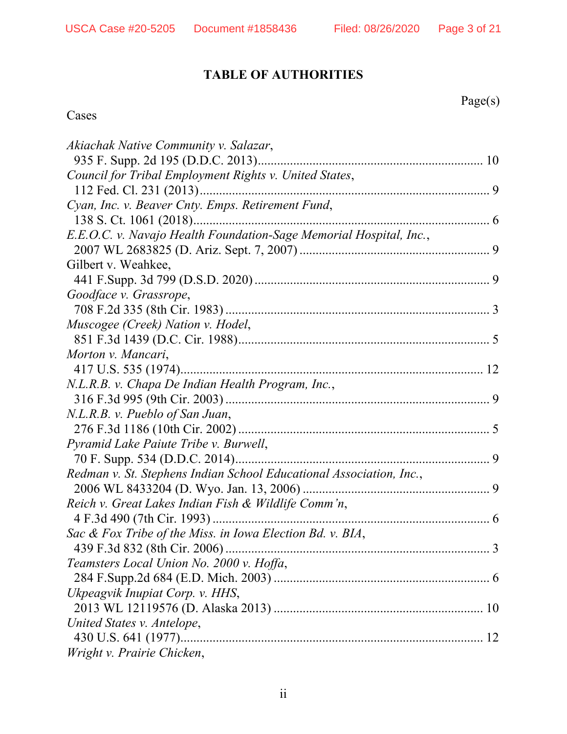# **TABLE OF AUTHORITIES**

Page(s)

## Cases

| Akiachak Native Community v. Salazar,                               |
|---------------------------------------------------------------------|
|                                                                     |
| Council for Tribal Employment Rights v. United States,              |
|                                                                     |
| Cyan, Inc. v. Beaver Cnty. Emps. Retirement Fund,                   |
|                                                                     |
| E.E.O.C. v. Navajo Health Foundation-Sage Memorial Hospital, Inc.,  |
|                                                                     |
| Gilbert v. Weahkee,                                                 |
|                                                                     |
| Goodface v. Grassrope,                                              |
|                                                                     |
| Muscogee (Creek) Nation v. Hodel,                                   |
|                                                                     |
| Morton v. Mancari,                                                  |
|                                                                     |
| N.L.R.B. v. Chapa De Indian Health Program, Inc.,                   |
|                                                                     |
| N.L.R.B. v. Pueblo of San Juan,                                     |
|                                                                     |
| Pyramid Lake Paiute Tribe v. Burwell,                               |
|                                                                     |
| Redman v. St. Stephens Indian School Educational Association, Inc., |
|                                                                     |
| Reich v. Great Lakes Indian Fish & Wildlife Comm'n,                 |
|                                                                     |
| Sac & Fox Tribe of the Miss. in Iowa Election Bd. v. BIA,           |
| 439 F.3d 832 (8th Cir. 2006)<br>3                                   |
| Teamsters Local Union No. 2000 v. Hoffa,                            |
|                                                                     |
| Ukpeagvik Inupiat Corp. v. HHS,                                     |
|                                                                     |
| United States v. Antelope,                                          |
|                                                                     |
| Wright v. Prairie Chicken,                                          |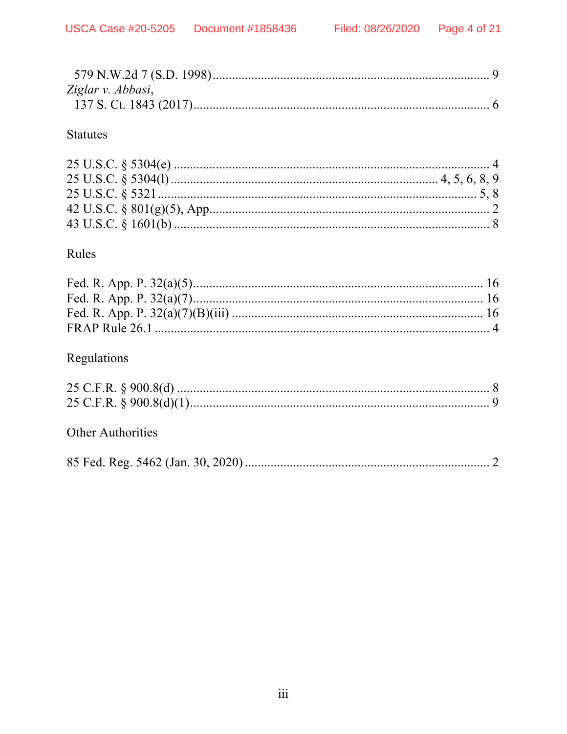| Ziglar v. Abbasi, |  |
|-------------------|--|
|                   |  |

## **Statutes**

# Rules

# Regulations

## **Other Authorities**

|--|--|--|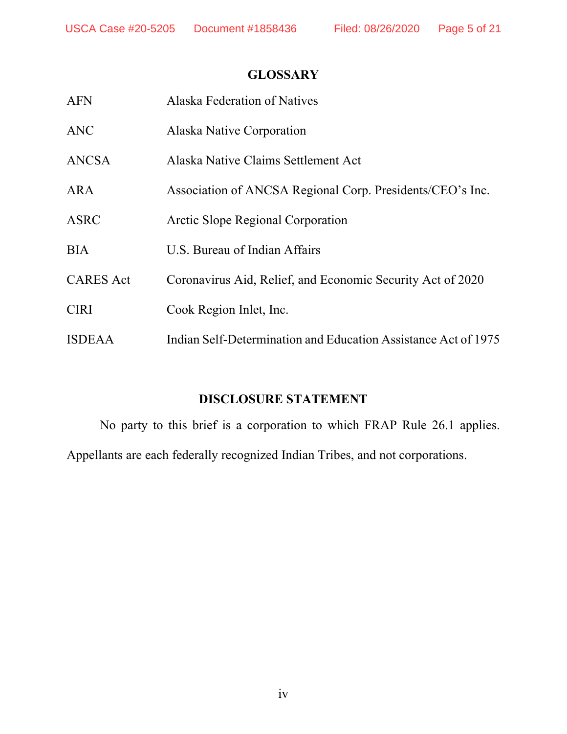## **GLOSSARY**

| <b>AFN</b>       | Alaska Federation of Natives                                   |
|------------------|----------------------------------------------------------------|
| <b>ANC</b>       | Alaska Native Corporation                                      |
| ANCSA            | Alaska Native Claims Settlement Act                            |
| <b>ARA</b>       | Association of ANCSA Regional Corp. Presidents/CEO's Inc.      |
| ASRC             | Arctic Slope Regional Corporation                              |
| <b>BIA</b>       | U.S. Bureau of Indian Affairs                                  |
| <b>CARES</b> Act | Coronavirus Aid, Relief, and Economic Security Act of 2020     |
| <b>CIRI</b>      | Cook Region Inlet, Inc.                                        |
| <b>ISDEAA</b>    | Indian Self-Determination and Education Assistance Act of 1975 |

# **DISCLOSURE STATEMENT**

 No party to this brief is a corporation to which FRAP Rule 26.1 applies. Appellants are each federally recognized Indian Tribes, and not corporations.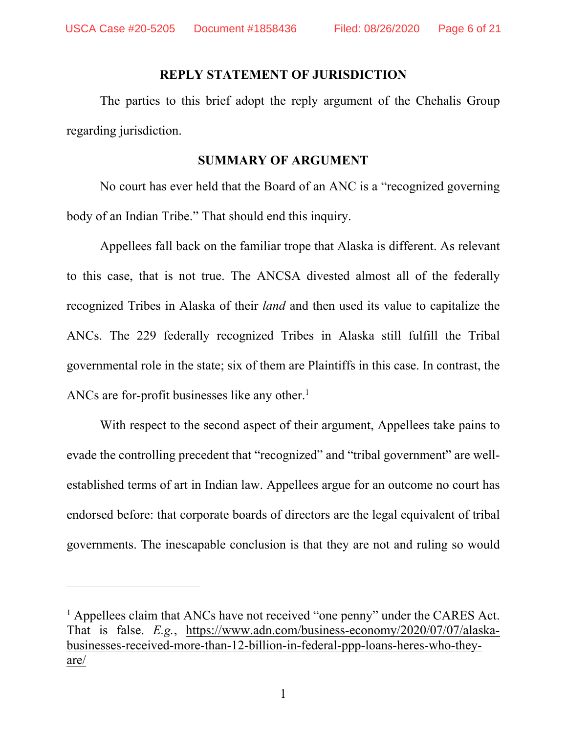#### **REPLY STATEMENT OF JURISDICTION**

The parties to this brief adopt the reply argument of the Chehalis Group regarding jurisdiction.

#### **SUMMARY OF ARGUMENT**

No court has ever held that the Board of an ANC is a "recognized governing body of an Indian Tribe." That should end this inquiry.

Appellees fall back on the familiar trope that Alaska is different. As relevant to this case, that is not true. The ANCSA divested almost all of the federally recognized Tribes in Alaska of their *land* and then used its value to capitalize the ANCs. The 229 federally recognized Tribes in Alaska still fulfill the Tribal governmental role in the state; six of them are Plaintiffs in this case. In contrast, the ANCs are for-profit businesses like any other.<sup>1</sup>

With respect to the second aspect of their argument, Appellees take pains to evade the controlling precedent that "recognized" and "tribal government" are wellestablished terms of art in Indian law. Appellees argue for an outcome no court has endorsed before: that corporate boards of directors are the legal equivalent of tribal governments. The inescapable conclusion is that they are not and ruling so would

<sup>&</sup>lt;sup>1</sup> Appellees claim that ANCs have not received "one penny" under the CARES Act. That is false. *E.g.*, https://www.adn.com/business-economy/2020/07/07/alaskabusinesses-received-more-than-12-billion-in-federal-ppp-loans-heres-who-theyare/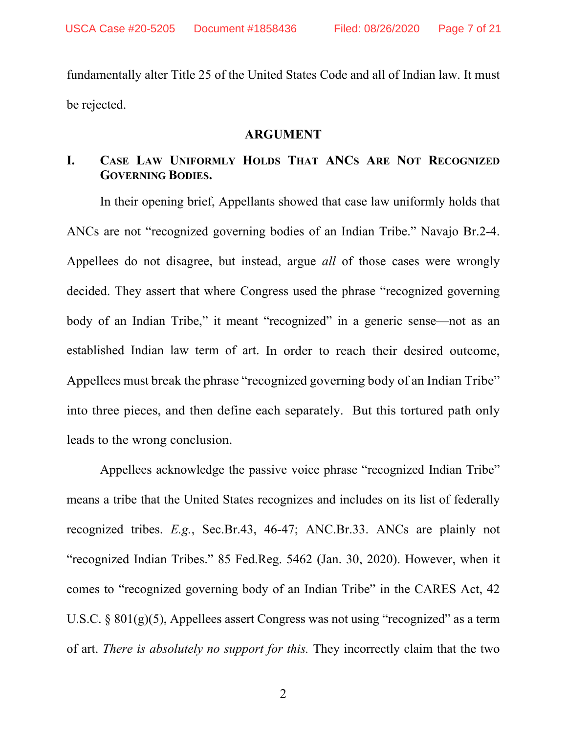fundamentally alter Title 25 of the United States Code and all of Indian law. It must be rejected.

### **ARGUMENT**

## **I. CASE LAW UNIFORMLY HOLDS THAT ANCS ARE NOT RECOGNIZED GOVERNING BODIES.**

In their opening brief, Appellants showed that case law uniformly holds that ANCs are not "recognized governing bodies of an Indian Tribe." Navajo Br.2-4. Appellees do not disagree, but instead, argue *all* of those cases were wrongly decided. They assert that where Congress used the phrase "recognized governing body of an Indian Tribe," it meant "recognized" in a generic sense—not as an established Indian law term of art. In order to reach their desired outcome, Appellees must break the phrase "recognized governing body of an Indian Tribe" into three pieces, and then define each separately. But this tortured path only leads to the wrong conclusion.

Appellees acknowledge the passive voice phrase "recognized Indian Tribe" means a tribe that the United States recognizes and includes on its list of federally recognized tribes. *E.g.*, Sec.Br.43, 46-47; ANC.Br.33. ANCs are plainly not "recognized Indian Tribes." 85 Fed.Reg. 5462 (Jan. 30, 2020). However, when it comes to "recognized governing body of an Indian Tribe" in the CARES Act, 42 U.S.C.  $\S 801(g)(5)$ , Appellees assert Congress was not using "recognized" as a term of art. *There is absolutely no support for this.* They incorrectly claim that the two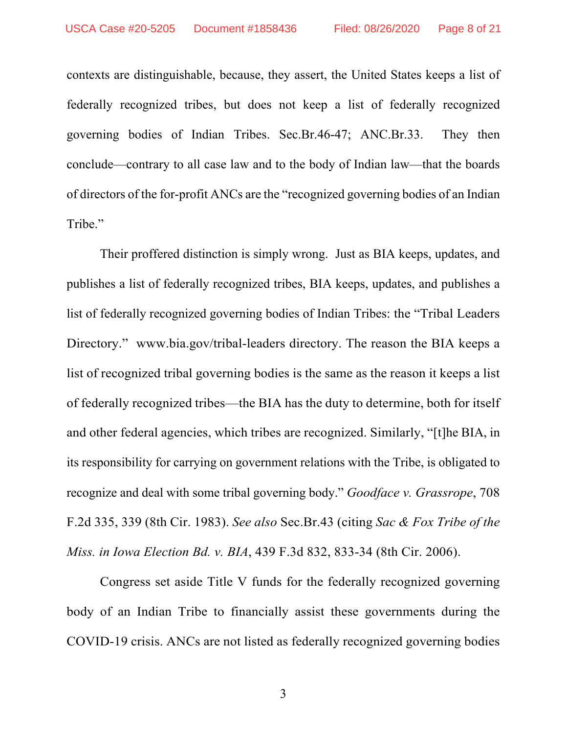contexts are distinguishable, because, they assert, the United States keeps a list of federally recognized tribes, but does not keep a list of federally recognized governing bodies of Indian Tribes. Sec.Br.46-47; ANC.Br.33. They then conclude—contrary to all case law and to the body of Indian law—that the boards of directors of the for-profit ANCs are the "recognized governing bodies of an Indian Tribe."

Their proffered distinction is simply wrong. Just as BIA keeps, updates, and publishes a list of federally recognized tribes, BIA keeps, updates, and publishes a list of federally recognized governing bodies of Indian Tribes: the "Tribal Leaders Directory." www.bia.gov/tribal-leaders directory. The reason the BIA keeps a list of recognized tribal governing bodies is the same as the reason it keeps a list of federally recognized tribes—the BIA has the duty to determine, both for itself and other federal agencies, which tribes are recognized. Similarly, "[t]he BIA, in its responsibility for carrying on government relations with the Tribe, is obligated to recognize and deal with some tribal governing body." *Goodface v. Grassrope*, 708 F.2d 335, 339 (8th Cir. 1983). *See also* Sec.Br.43 (citing *Sac & Fox Tribe of the Miss. in Iowa Election Bd. v. BIA*, 439 F.3d 832, 833-34 (8th Cir. 2006).

Congress set aside Title V funds for the federally recognized governing body of an Indian Tribe to financially assist these governments during the COVID-19 crisis. ANCs are not listed as federally recognized governing bodies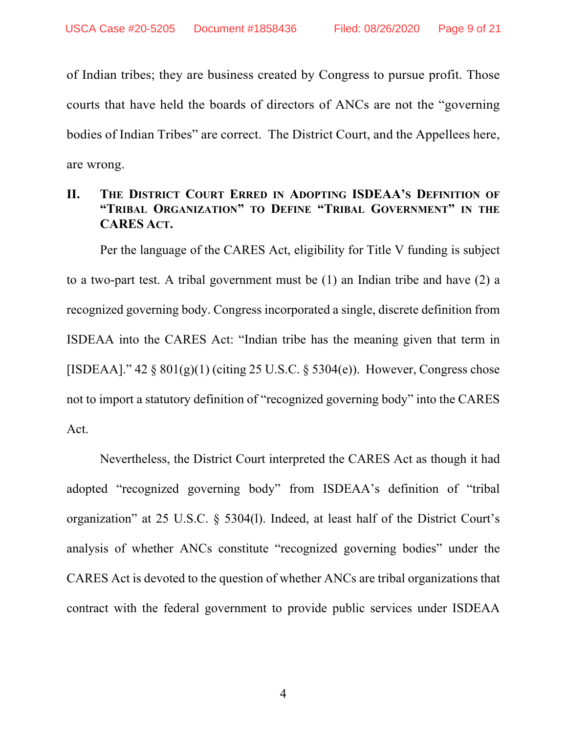of Indian tribes; they are business created by Congress to pursue profit. Those courts that have held the boards of directors of ANCs are not the "governing bodies of Indian Tribes" are correct. The District Court, and the Appellees here, are wrong.

## **II. THE DISTRICT COURT ERRED IN ADOPTING ISDEAA'S DEFINITION OF "TRIBAL ORGANIZATION" TO DEFINE "TRIBAL GOVERNMENT" IN THE CARES ACT.**

Per the language of the CARES Act, eligibility for Title V funding is subject to a two-part test. A tribal government must be (1) an Indian tribe and have (2) a recognized governing body. Congress incorporated a single, discrete definition from ISDEAA into the CARES Act: "Indian tribe has the meaning given that term in [ISDEAA]."  $42 \frac{8}{9}$  801(g)(1) (citing 25 U.S.C. § 5304(e)). However, Congress chose not to import a statutory definition of "recognized governing body" into the CARES Act.

Nevertheless, the District Court interpreted the CARES Act as though it had adopted "recognized governing body" from ISDEAA's definition of "tribal organization" at 25 U.S.C. § 5304(l). Indeed, at least half of the District Court's analysis of whether ANCs constitute "recognized governing bodies" under the CARES Act is devoted to the question of whether ANCs are tribal organizations that contract with the federal government to provide public services under ISDEAA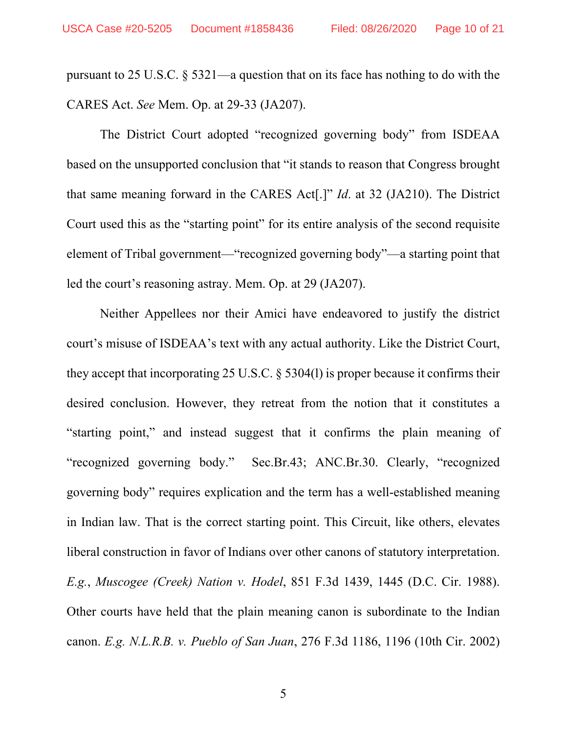pursuant to 25 U.S.C. § 5321—a question that on its face has nothing to do with the CARES Act. *See* Mem. Op. at 29-33 (JA207).

The District Court adopted "recognized governing body" from ISDEAA based on the unsupported conclusion that "it stands to reason that Congress brought that same meaning forward in the CARES Act[.]" *Id*. at 32 (JA210). The District Court used this as the "starting point" for its entire analysis of the second requisite element of Tribal government—"recognized governing body"—a starting point that led the court's reasoning astray. Mem. Op. at 29 (JA207).

Neither Appellees nor their Amici have endeavored to justify the district court's misuse of ISDEAA's text with any actual authority. Like the District Court, they accept that incorporating 25 U.S.C. § 5304(l) is proper because it confirms their desired conclusion. However, they retreat from the notion that it constitutes a "starting point," and instead suggest that it confirms the plain meaning of "recognized governing body." Sec.Br.43; ANC.Br.30. Clearly, "recognized governing body" requires explication and the term has a well-established meaning in Indian law. That is the correct starting point. This Circuit, like others, elevates liberal construction in favor of Indians over other canons of statutory interpretation. *E.g.*, *Muscogee (Creek) Nation v. Hodel*, 851 F.3d 1439, 1445 (D.C. Cir. 1988). Other courts have held that the plain meaning canon is subordinate to the Indian canon. *E.g. N.L.R.B. v. Pueblo of San Juan*, 276 F.3d 1186, 1196 (10th Cir. 2002)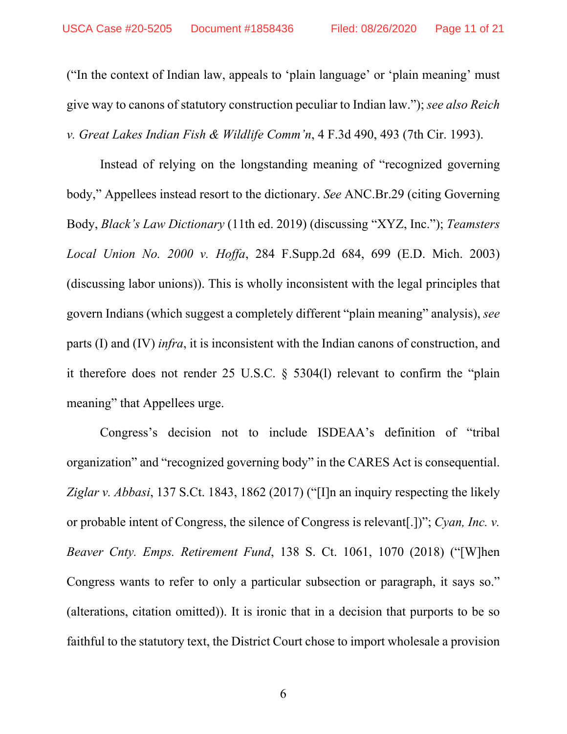("In the context of Indian law, appeals to 'plain language' or 'plain meaning' must give way to canons of statutory construction peculiar to Indian law."); *see also Reich v. Great Lakes Indian Fish & Wildlife Comm'n*, 4 F.3d 490, 493 (7th Cir. 1993).

Instead of relying on the longstanding meaning of "recognized governing body," Appellees instead resort to the dictionary. *See* ANC.Br.29 (citing Governing Body, *Black's Law Dictionary* (11th ed. 2019) (discussing "XYZ, Inc."); *Teamsters Local Union No. 2000 v. Hoffa*, 284 F.Supp.2d 684, 699 (E.D. Mich. 2003) (discussing labor unions)). This is wholly inconsistent with the legal principles that govern Indians (which suggest a completely different "plain meaning" analysis), *see*  parts (I) and (IV) *infra*, it is inconsistent with the Indian canons of construction, and it therefore does not render 25 U.S.C. § 5304(l) relevant to confirm the "plain meaning" that Appellees urge.

Congress's decision not to include ISDEAA's definition of "tribal organization" and "recognized governing body" in the CARES Act is consequential. *Ziglar v. Abbasi*, 137 S.Ct. 1843, 1862 (2017) ("[I]n an inquiry respecting the likely or probable intent of Congress, the silence of Congress is relevant[.])"; *Cyan, Inc. v. Beaver Cnty. Emps. Retirement Fund*, 138 S. Ct. 1061, 1070 (2018) ("[W]hen Congress wants to refer to only a particular subsection or paragraph, it says so." (alterations, citation omitted)). It is ironic that in a decision that purports to be so faithful to the statutory text, the District Court chose to import wholesale a provision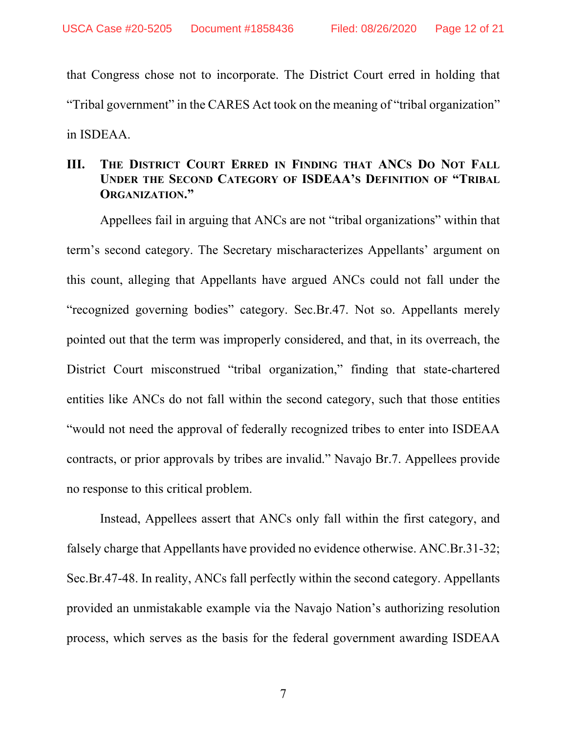that Congress chose not to incorporate. The District Court erred in holding that "Tribal government" in the CARES Act took on the meaning of "tribal organization" in ISDEAA.

## **III. THE DISTRICT COURT ERRED IN FINDING THAT ANCS DO NOT FALL UNDER THE SECOND CATEGORY OF ISDEAA'S DEFINITION OF "TRIBAL ORGANIZATION."**

Appellees fail in arguing that ANCs are not "tribal organizations" within that term's second category. The Secretary mischaracterizes Appellants' argument on this count, alleging that Appellants have argued ANCs could not fall under the "recognized governing bodies" category. Sec.Br.47. Not so. Appellants merely pointed out that the term was improperly considered, and that, in its overreach, the District Court misconstrued "tribal organization," finding that state-chartered entities like ANCs do not fall within the second category, such that those entities "would not need the approval of federally recognized tribes to enter into ISDEAA contracts, or prior approvals by tribes are invalid." Navajo Br.7. Appellees provide no response to this critical problem.

Instead, Appellees assert that ANCs only fall within the first category, and falsely charge that Appellants have provided no evidence otherwise. ANC.Br.31-32; Sec.Br.47-48. In reality, ANCs fall perfectly within the second category. Appellants provided an unmistakable example via the Navajo Nation's authorizing resolution process, which serves as the basis for the federal government awarding ISDEAA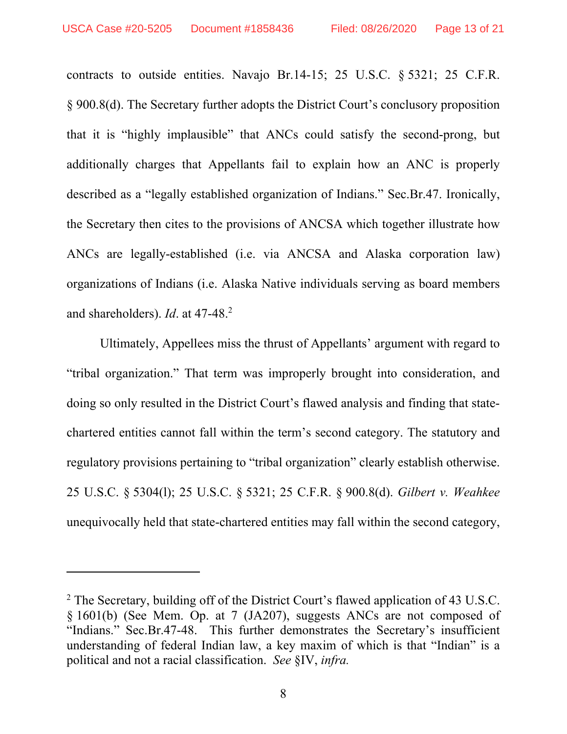contracts to outside entities. Navajo Br.14-15; 25 U.S.C. § 5321; 25 C.F.R. § 900.8(d). The Secretary further adopts the District Court's conclusory proposition that it is "highly implausible" that ANCs could satisfy the second-prong, but additionally charges that Appellants fail to explain how an ANC is properly described as a "legally established organization of Indians." Sec.Br.47. Ironically, the Secretary then cites to the provisions of ANCSA which together illustrate how ANCs are legally-established (i.e. via ANCSA and Alaska corporation law) organizations of Indians (i.e. Alaska Native individuals serving as board members and shareholders). *Id*. at 47-48.2

Ultimately, Appellees miss the thrust of Appellants' argument with regard to "tribal organization." That term was improperly brought into consideration, and doing so only resulted in the District Court's flawed analysis and finding that statechartered entities cannot fall within the term's second category. The statutory and regulatory provisions pertaining to "tribal organization" clearly establish otherwise. 25 U.S.C. § 5304(l); 25 U.S.C. § 5321; 25 C.F.R. § 900.8(d). *Gilbert v. Weahkee* unequivocally held that state-chartered entities may fall within the second category,

<sup>&</sup>lt;sup>2</sup> The Secretary, building off of the District Court's flawed application of 43 U.S.C. § 1601(b) (See Mem. Op. at 7 (JA207), suggests ANCs are not composed of "Indians." Sec.Br.47-48. This further demonstrates the Secretary's insufficient understanding of federal Indian law, a key maxim of which is that "Indian" is a political and not a racial classification. *See* §IV, *infra.*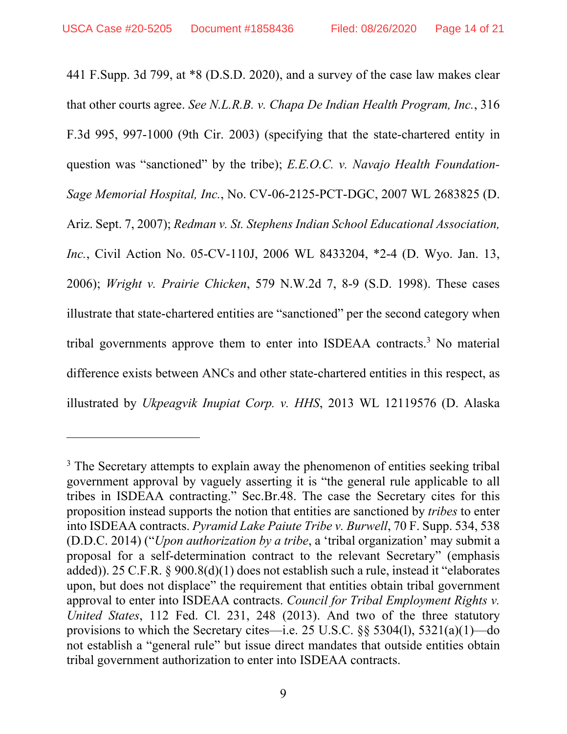441 F.Supp. 3d 799, at \*8 (D.S.D. 2020), and a survey of the case law makes clear that other courts agree. *See N.L.R.B. v. Chapa De Indian Health Program, Inc.*, 316 F.3d 995, 997-1000 (9th Cir. 2003) (specifying that the state-chartered entity in question was "sanctioned" by the tribe); *E.E.O.C. v. Navajo Health Foundation-Sage Memorial Hospital, Inc.*, No. CV-06-2125-PCT-DGC, 2007 WL 2683825 (D. Ariz. Sept. 7, 2007); *Redman v. St. Stephens Indian School Educational Association, Inc.*, Civil Action No. 05-CV-110J, 2006 WL 8433204, \*2-4 (D. Wyo. Jan. 13, 2006); *Wright v. Prairie Chicken*, 579 N.W.2d 7, 8-9 (S.D. 1998). These cases illustrate that state-chartered entities are "sanctioned" per the second category when tribal governments approve them to enter into ISDEAA contracts.<sup>3</sup> No material difference exists between ANCs and other state-chartered entities in this respect, as illustrated by *Ukpeagvik Inupiat Corp. v. HHS*, 2013 WL 12119576 (D. Alaska

<sup>&</sup>lt;sup>3</sup> The Secretary attempts to explain away the phenomenon of entities seeking tribal government approval by vaguely asserting it is "the general rule applicable to all tribes in ISDEAA contracting." Sec.Br.48. The case the Secretary cites for this proposition instead supports the notion that entities are sanctioned by *tribes* to enter into ISDEAA contracts. *Pyramid Lake Paiute Tribe v. Burwell*, 70 F. Supp. 534, 538 (D.D.C. 2014) ("*Upon authorization by a tribe*, a 'tribal organization' may submit a proposal for a self-determination contract to the relevant Secretary" (emphasis added)). 25 C.F.R. § 900.8(d)(1) does not establish such a rule, instead it "elaborates upon, but does not displace" the requirement that entities obtain tribal government approval to enter into ISDEAA contracts. *Council for Tribal Employment Rights v. United States*, 112 Fed. Cl. 231, 248 (2013). And two of the three statutory provisions to which the Secretary cites—i.e. 25 U.S.C. §§ 5304(l), 5321(a)(1)—do not establish a "general rule" but issue direct mandates that outside entities obtain tribal government authorization to enter into ISDEAA contracts.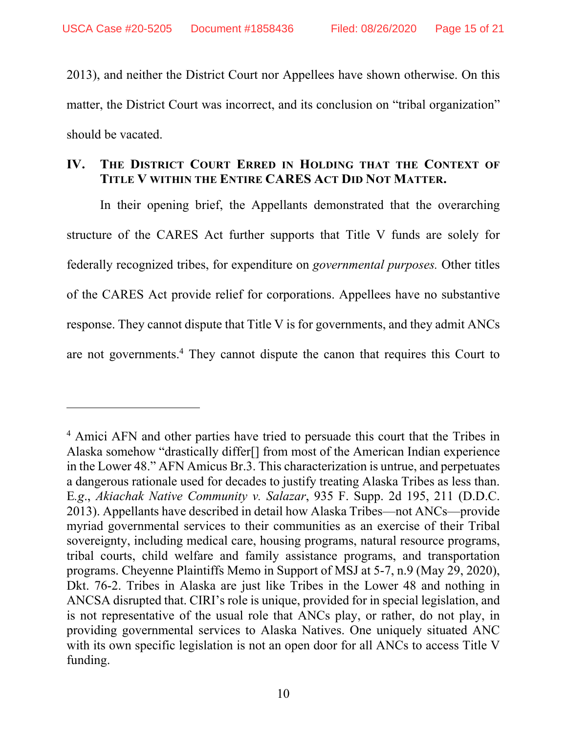2013), and neither the District Court nor Appellees have shown otherwise. On this matter, the District Court was incorrect, and its conclusion on "tribal organization" should be vacated.

## **IV. THE DISTRICT COURT ERRED IN HOLDING THAT THE CONTEXT OF TITLE V WITHIN THE ENTIRE CARES ACT DID NOT MATTER.**

In their opening brief, the Appellants demonstrated that the overarching structure of the CARES Act further supports that Title V funds are solely for federally recognized tribes, for expenditure on *governmental purposes.* Other titles of the CARES Act provide relief for corporations. Appellees have no substantive response. They cannot dispute that Title V is for governments, and they admit ANCs are not governments.<sup>4</sup> They cannot dispute the canon that requires this Court to

<sup>&</sup>lt;sup>4</sup> Amici AFN and other parties have tried to persuade this court that the Tribes in Alaska somehow "drastically differ[] from most of the American Indian experience in the Lower 48." AFN Amicus Br.3. This characterization is untrue, and perpetuates a dangerous rationale used for decades to justify treating Alaska Tribes as less than. E*.g*., *Akiachak Native Community v. Salazar*, 935 F. Supp. 2d 195, 211 (D.D.C. 2013). Appellants have described in detail how Alaska Tribes—not ANCs—provide myriad governmental services to their communities as an exercise of their Tribal sovereignty, including medical care, housing programs, natural resource programs, tribal courts, child welfare and family assistance programs, and transportation programs. Cheyenne Plaintiffs Memo in Support of MSJ at 5-7, n.9 (May 29, 2020), Dkt. 76-2. Tribes in Alaska are just like Tribes in the Lower 48 and nothing in ANCSA disrupted that. CIRI's role is unique, provided for in special legislation, and is not representative of the usual role that ANCs play, or rather, do not play, in providing governmental services to Alaska Natives. One uniquely situated ANC with its own specific legislation is not an open door for all ANCs to access Title V funding.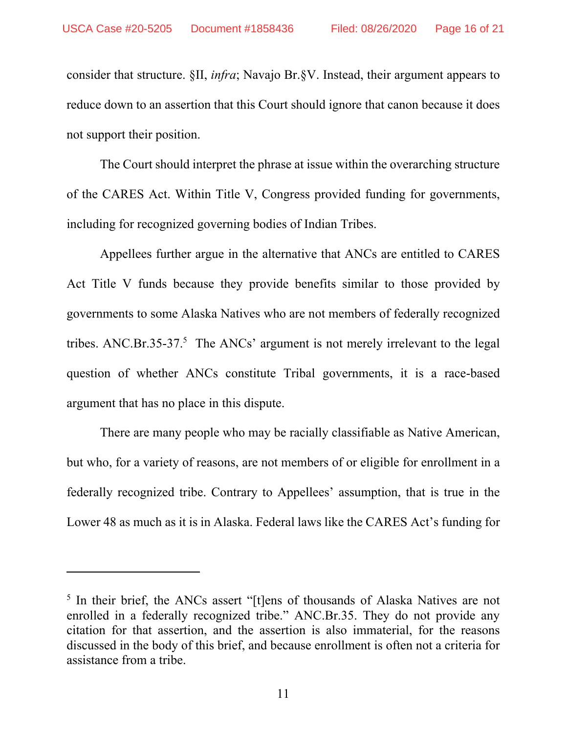consider that structure. §II, *infra*; Navajo Br.§V. Instead, their argument appears to reduce down to an assertion that this Court should ignore that canon because it does not support their position.

The Court should interpret the phrase at issue within the overarching structure of the CARES Act. Within Title V, Congress provided funding for governments, including for recognized governing bodies of Indian Tribes.

Appellees further argue in the alternative that ANCs are entitled to CARES Act Title V funds because they provide benefits similar to those provided by governments to some Alaska Natives who are not members of federally recognized tribes. ANC.Br.35-37.<sup>5</sup> The ANCs' argument is not merely irrelevant to the legal question of whether ANCs constitute Tribal governments, it is a race-based argument that has no place in this dispute.

There are many people who may be racially classifiable as Native American, but who, for a variety of reasons, are not members of or eligible for enrollment in a federally recognized tribe. Contrary to Appellees' assumption, that is true in the Lower 48 as much as it is in Alaska. Federal laws like the CARES Act's funding for

<sup>&</sup>lt;sup>5</sup> In their brief, the ANCs assert "[t]ens of thousands of Alaska Natives are not enrolled in a federally recognized tribe." ANC.Br.35. They do not provide any citation for that assertion, and the assertion is also immaterial, for the reasons discussed in the body of this brief, and because enrollment is often not a criteria for assistance from a tribe.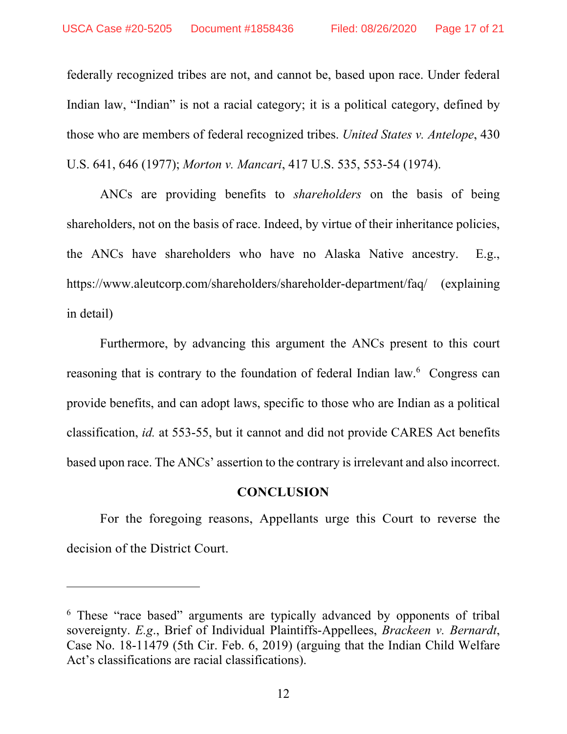federally recognized tribes are not, and cannot be, based upon race. Under federal Indian law, "Indian" is not a racial category; it is a political category, defined by those who are members of federal recognized tribes. *United States v. Antelope*, 430 U.S. 641, 646 (1977); *Morton v. Mancari*, 417 U.S. 535, 553-54 (1974).

ANCs are providing benefits to *shareholders* on the basis of being shareholders, not on the basis of race. Indeed, by virtue of their inheritance policies, the ANCs have shareholders who have no Alaska Native ancestry. E.g., https://www.aleutcorp.com/shareholders/shareholder-department/faq/ (explaining in detail)

Furthermore, by advancing this argument the ANCs present to this court reasoning that is contrary to the foundation of federal Indian law.<sup>6</sup> Congress can provide benefits, and can adopt laws, specific to those who are Indian as a political classification, *id.* at 553-55, but it cannot and did not provide CARES Act benefits based upon race. The ANCs' assertion to the contrary is irrelevant and also incorrect.

### **CONCLUSION**

For the foregoing reasons, Appellants urge this Court to reverse the decision of the District Court.

<sup>&</sup>lt;sup>6</sup> These "race based" arguments are typically advanced by opponents of tribal sovereignty. *E.g*., Brief of Individual Plaintiffs-Appellees, *Brackeen v. Bernardt*, Case No. 18-11479 (5th Cir. Feb. 6, 2019) (arguing that the Indian Child Welfare Act's classifications are racial classifications).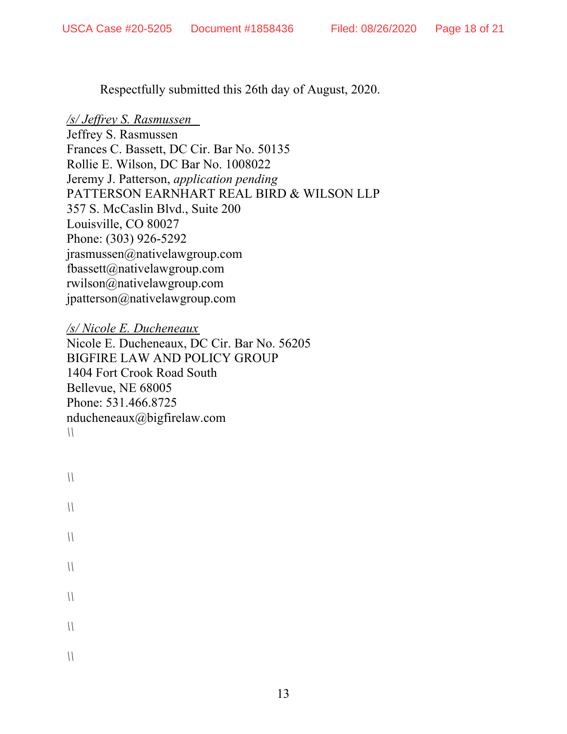Respectfully submitted this 26th day of August, 2020.

## */s/ Jeffrey S. Rasmussen*

Jeffrey S. Rasmussen Frances C. Bassett, DC Cir. Bar No. 50135 Rollie E. Wilson, DC Bar No. 1008022 Jeremy J. Patterson, *application pending* PATTERSON EARNHART REAL BIRD & WILSON LLP 357 S. McCaslin Blvd., Suite 200 Louisville, CO 80027 Phone: (303) 926-5292 jrasmussen@nativelawgroup.com fbassett@nativelawgroup.com rwilson@nativelawgroup.com jpatterson@nativelawgroup.com

*/s/ Nicole E. Ducheneaux*  Nicole E. Ducheneaux, DC Cir. Bar No. 56205 BIGFIRE LAW AND POLICY GROUP 1404 Fort Crook Road South Bellevue, NE 68005 Phone: 531.466.8725 nducheneaux@bigfirelaw.com *\\* 

```
\\ 
\\ 
\\ 
\\ 
\\ 
\\ 
\\
```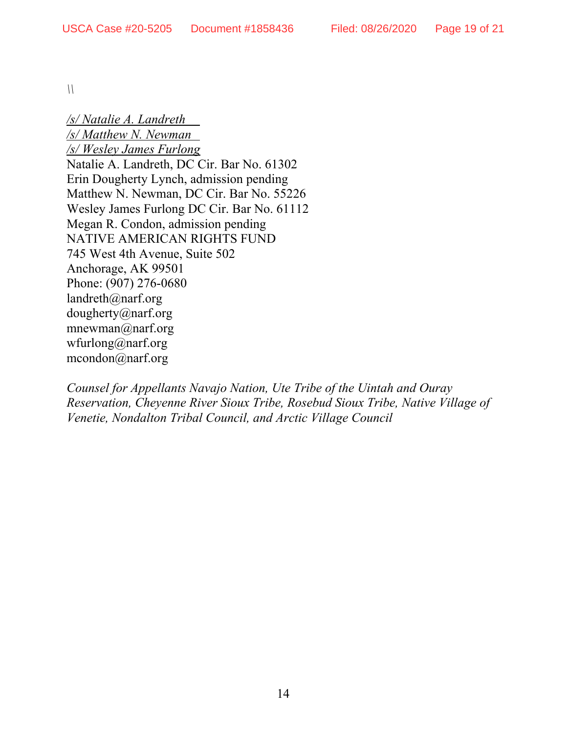*\\* 

*/s/ Natalie A. Landreth /s/ Matthew N. Newman /s/ Wesley James Furlong*  Natalie A. Landreth, DC Cir. Bar No. 61302 Erin Dougherty Lynch, admission pending Matthew N. Newman, DC Cir. Bar No. 55226 Wesley James Furlong DC Cir. Bar No. 61112 Megan R. Condon, admission pending NATIVE AMERICAN RIGHTS FUND 745 West 4th Avenue, Suite 502 Anchorage, AK 99501 Phone: (907) 276-0680 landreth@narf.org dougherty@narf.org mnewman@narf.org wfurlong@narf.org mcondon@narf.org

*Counsel for Appellants Navajo Nation, Ute Tribe of the Uintah and Ouray Reservation, Cheyenne River Sioux Tribe, Rosebud Sioux Tribe, Native Village of Venetie, Nondalton Tribal Council, and Arctic Village Council*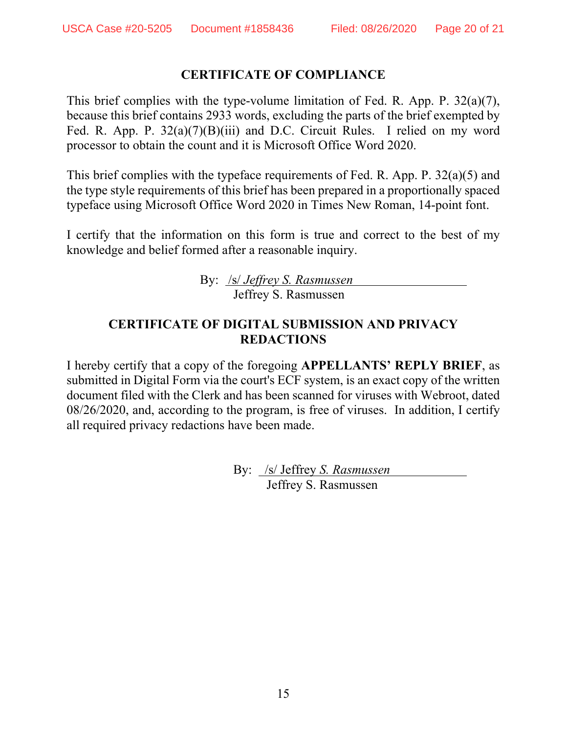## **CERTIFICATE OF COMPLIANCE**

This brief complies with the type-volume limitation of Fed. R. App. P. 32(a)(7), because this brief contains 2933 words, excluding the parts of the brief exempted by Fed. R. App. P. 32(a)(7)(B)(iii) and D.C. Circuit Rules. I relied on my word processor to obtain the count and it is Microsoft Office Word 2020.

This brief complies with the typeface requirements of Fed. R. App. P. 32(a)(5) and the type style requirements of this brief has been prepared in a proportionally spaced typeface using Microsoft Office Word 2020 in Times New Roman, 14-point font.

I certify that the information on this form is true and correct to the best of my knowledge and belief formed after a reasonable inquiry.

> By: /s/ *Jeffrey S. Rasmussen* Jeffrey S. Rasmussen

## **CERTIFICATE OF DIGITAL SUBMISSION AND PRIVACY REDACTIONS**

I hereby certify that a copy of the foregoing **APPELLANTS' REPLY BRIEF**, as submitted in Digital Form via the court's ECF system, is an exact copy of the written document filed with the Clerk and has been scanned for viruses with Webroot, dated 08/26/2020, and, according to the program, is free of viruses. In addition, I certify all required privacy redactions have been made.

> By: /s/ Jeffrey *S. Rasmussen*  Jeffrey S. Rasmussen